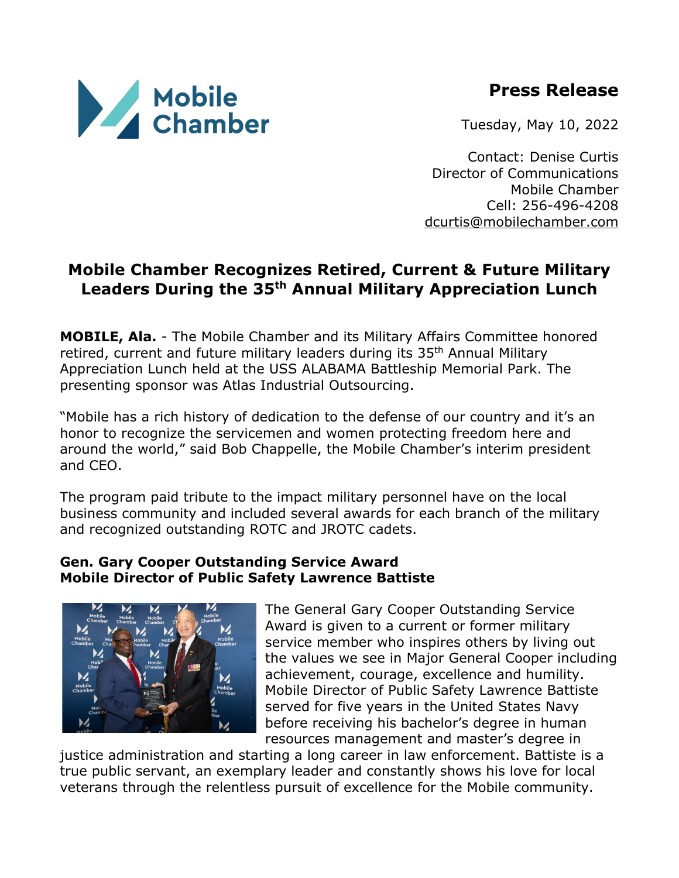# **Press Release**



Tuesday, May 10, 2022

Contact: Denise Curtis Director of Communications Mobile Chamber Cell: 256-496-4208 dcurtis@mobilechamber.com

## **Mobile Chamber Recognizes Retired, Current & Future Military Leaders During the 35th Annual Military Appreciation Lunch**

**MOBILE, Ala.** - The Mobile Chamber and its Military Affairs Committee honored retired, current and future military leaders during its 35<sup>th</sup> Annual Military Appreciation Lunch held at the USS ALABAMA Battleship Memorial Park. The presenting sponsor was Atlas Industrial Outsourcing.

"Mobile has a rich history of dedication to the defense of our country and it's an honor to recognize the servicemen and women protecting freedom here and around the world," said Bob Chappelle, the Mobile Chamber's interim president and CEO.

The program paid tribute to the impact military personnel have on the local business community and included several awards for each branch of the military and recognized outstanding ROTC and JROTC cadets.

#### **Gen. Gary Cooper Outstanding Service Award Mobile Director of Public Safety Lawrence Battiste**



The General Gary Cooper Outstanding Service Award is given to a current or former military service member who inspires others by living out the values we see in Major General Cooper including achievement, courage, excellence and humility. Mobile Director of Public Safety Lawrence Battiste served for five years in the United States Navy before receiving his bachelor's degree in human resources management and master's degree in

justice administration and starting a long career in law enforcement. Battiste is a true public servant, an exemplary leader and constantly shows his love for local veterans through the relentless pursuit of excellence for the Mobile community.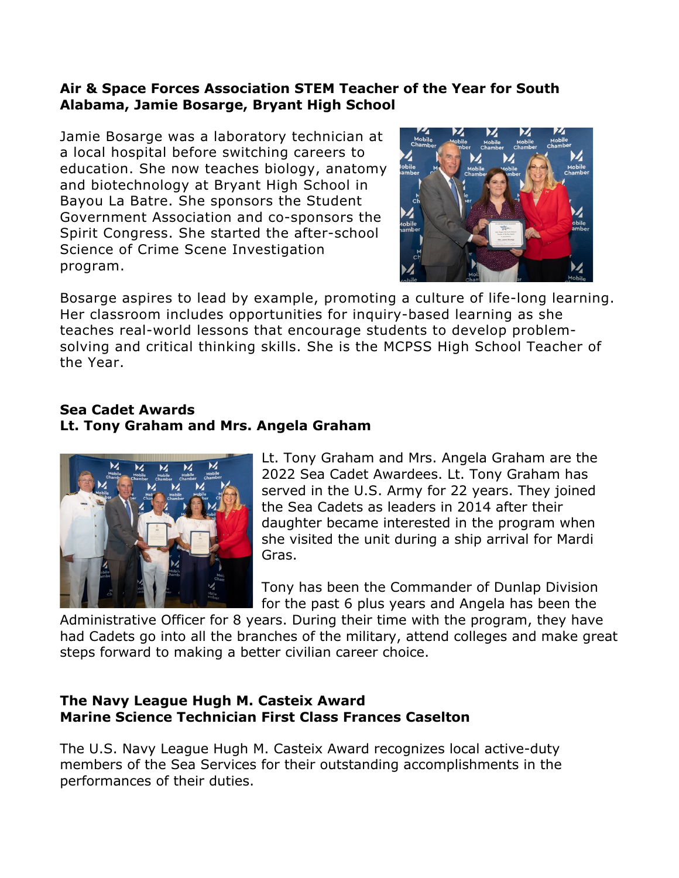#### **Air & Space Forces Association STEM Teacher of the Year for South Alabama, Jamie Bosarge, Bryant High School**

Jamie Bosarge was a laboratory technician at a local hospital before switching careers to education. She now teaches biology, anatomy and biotechnology at Bryant High School in Bayou La Batre. She sponsors the Student Government Association and co-sponsors the Spirit Congress. She started the after-school Science of Crime Scene Investigation program.



Bosarge aspires to lead by example, promoting a culture of life-long learning. Her classroom includes opportunities for inquiry-based learning as she teaches real-world lessons that encourage students to develop problemsolving and critical thinking skills. She is the MCPSS High School Teacher of the Year.

#### **Sea Cadet Awards Lt. Tony Graham and Mrs. Angela Graham**



Lt. Tony Graham and Mrs. Angela Graham are the 2022 Sea Cadet Awardees. Lt. Tony Graham has served in the U.S. Army for 22 years. They joined the Sea Cadets as leaders in 2014 after their daughter became interested in the program when she visited the unit during a ship arrival for Mardi Gras.

Tony has been the Commander of Dunlap Division for the past 6 plus years and Angela has been the

Administrative Officer for 8 years. During their time with the program, they have had Cadets go into all the branches of the military, attend colleges and make great steps forward to making a better civilian career choice.

#### **The Navy League Hugh M. Casteix Award Marine Science Technician First Class Frances Caselton**

The U.S. Navy League Hugh M. Casteix Award recognizes local active-duty members of the Sea Services for their outstanding accomplishments in the performances of their duties.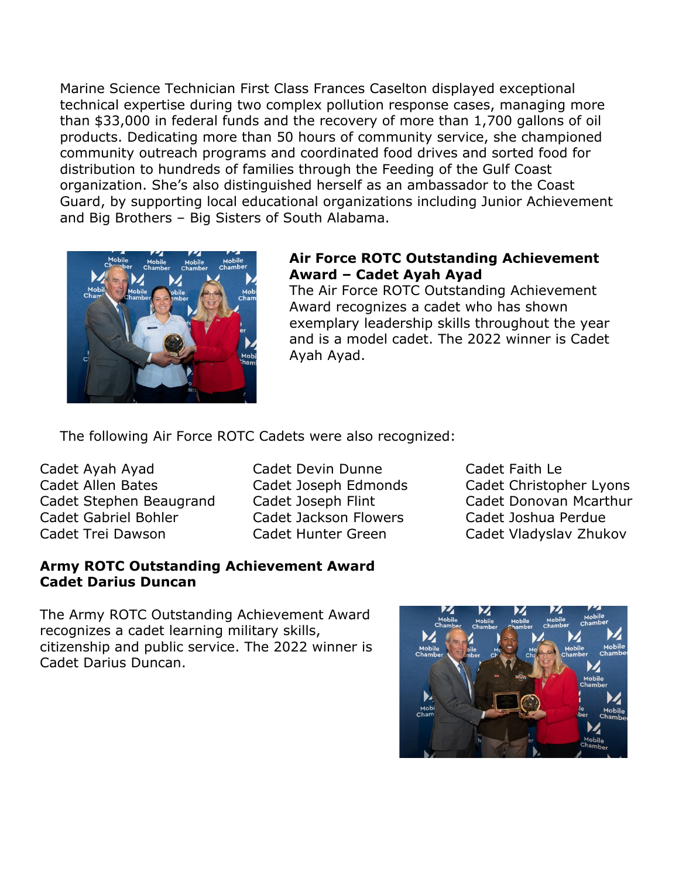Marine Science Technician First Class Frances Caselton displayed exceptional technical expertise during two complex pollution response cases, managing more than \$33,000 in federal funds and the recovery of more than 1,700 gallons of oil products. Dedicating more than 50 hours of community service, she championed community outreach programs and coordinated food drives and sorted food for distribution to hundreds of families through the Feeding of the Gulf Coast organization. She's also distinguished herself as an ambassador to the Coast Guard, by supporting local educational organizations including Junior Achievement and Big Brothers – Big Sisters of South Alabama.



#### **Air Force ROTC Outstanding Achievement Award – Cadet Ayah Ayad**

The Air Force ROTC Outstanding Achievement Award recognizes a cadet who has shown exemplary leadership skills throughout the year and is a model cadet. The 2022 winner is Cadet Ayah Ayad.

The following Air Force ROTC Cadets were also recognized:

Cadet Ayah Ayad Cadet Allen Bates Cadet Stephen Beaugrand Cadet Gabriel Bohler Cadet Trei Dawson

**Cadet Darius Duncan**

Cadet Devin Dunne Cadet Joseph Edmonds Cadet Joseph Flint Cadet Jackson Flowers Cadet Hunter Green

Cadet Faith Le Cadet Christopher Lyons Cadet Donovan Mcarthur Cadet Joshua Perdue Cadet Vladyslav Zhukov

The Army ROTC Outstanding Achievement Award recognizes a cadet learning military skills, citizenship and public service. The 2022 winner is Cadet Darius Duncan.

**Army ROTC Outstanding Achievement Award**